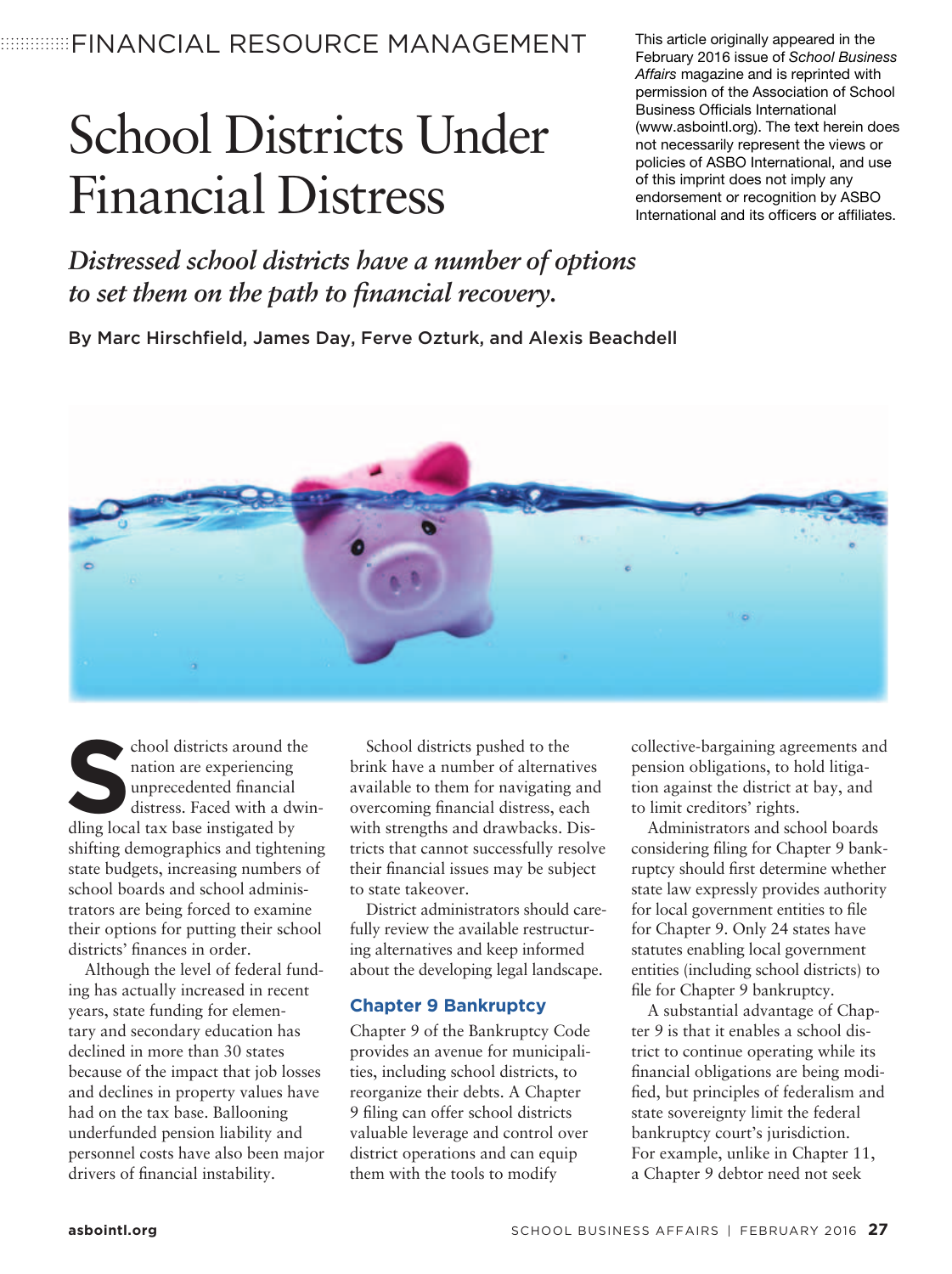**EDIMINISTINANCIAL RESOURCE MANAGEMENT** 

## School Districts Under Financial Distress

This article originally appeared in the February 2016 issue of School Business Affairs magazine and is reprinted with permission of the Association of School Business Officials International (www.asbointl.org). The text herein does not necessarily represent the views or policies of ASBO International, and use of this imprint does not imply any endorsement or recognition by ASBO International and its officers or affiliates.

*Distressed school districts have a number of options*  to set them on the path to financial recovery.

By Marc Hirschfield, James Day, Ferve Ozturk, and Alexis Beachdell



School districts around the nation are experiencing unprecedented financial distress. Faced with a dwin dling local tax base instigated by nation are experiencing unprecedented financial distress. Faced with a dwinshifting demographics and tightening state budgets, increasing numbers of school boards and school administrators are being forced to examine their options for putting their school districts' finances in order.

Although the level of federal funding has actually increased in recent years, state funding for elementary and secondary education has declined in more than 30 states because of the impact that job losses and declines in property values have had on the tax base. Ballooning underfunded pension liability and personnel costs have also been major drivers of financial instability.

School districts pushed to the brink have a number of alternatives available to them for navigating and overcoming financial distress, each with strengths and drawbacks. Districts that cannot successfully resolve their financial issues may be subject to state takeover.

District administrators should carefully review the available restructuring alternatives and keep informed about the developing legal landscape.

## **Chapter 9 Bankruptcy**

Chapter 9 of the Bankruptcy Code provides an avenue for municipalities, including school districts, to reorganize their debts. A Chapter 9 filing can offer school districts valuable leverage and control over district operations and can equip them with the tools to modify

collective-bargaining agreements and pension obligations, to hold litigation against the district at bay, and to limit creditors' rights.

Administrators and school boards considering filing for Chapter 9 bankruptcy should first determine whether state law expressly provides authority for local government entities to file for Chapter 9. Only 24 states have statutes enabling local government entities (including school districts) to file for Chapter 9 bankruptcy.

A substantial advantage of Chapter 9 is that it enables a school district to continue operating while its financial obligations are being modified, but principles of federalism and state sovereignty limit the federal bankruptcy court's jurisdiction. For example, unlike in Chapter 11, a Chapter 9 debtor need not seek